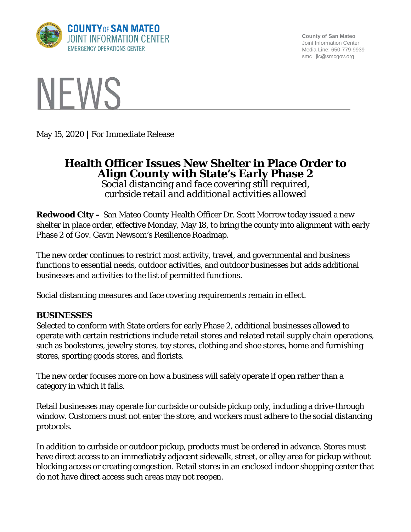

**County of San Mateo** Joint Information Center Media Line: 650-779-9939 smc\_ jic@smcgov.org



May 15, 2020 | For Immediate Release

# **Health Officer Issues New Shelter in Place Order to Align County with State's Early Phase 2**

*Social distancing and face covering still required, curbside retail and additional activities allowed*

**Redwood City –** San Mateo County Health Officer Dr. Scott Morrow today issued a new shelter in place order, effective Monday, May 18, to bring the county into alignment with early Phase 2 of Gov. Gavin Newsom's Resilience Roadmap.

The new order continues to restrict most activity, travel, and governmental and business functions to essential needs, outdoor activities, and outdoor businesses but adds additional businesses and activities to the list of permitted functions.

Social distancing measures and face covering requirements remain in effect.

## **BUSINESSES**

Selected to conform with State orders for early Phase 2, additional businesses allowed to operate with certain restrictions include retail stores and related retail supply chain operations, such as bookstores, jewelry stores, toy stores, clothing and shoe stores, home and furnishing stores, sporting goods stores, and florists.

The new order focuses more on how a business will safely operate if open rather than a category in which it falls.

Retail businesses may operate for curbside or outside pickup only, including a drive-through window. Customers must not enter the store, and workers must adhere to the social distancing protocols.

In addition to curbside or outdoor pickup, products must be ordered in advance. Stores must have direct access to an immediately adjacent sidewalk, street, or alley area for pickup without blocking access or creating congestion. Retail stores in an enclosed indoor shopping center that do not have direct access such areas may not reopen.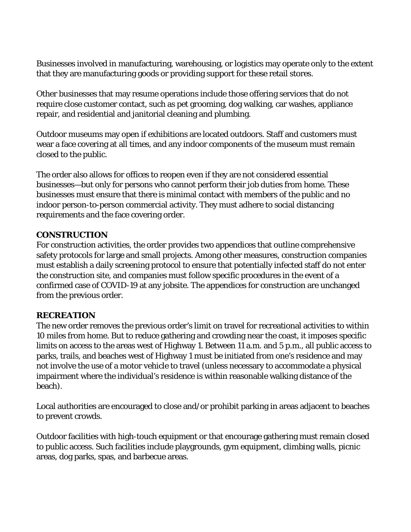Businesses involved in manufacturing, warehousing, or logistics may operate only to the extent that they are manufacturing goods or providing support for these retail stores.

Other businesses that may resume operations include those offering services that do not require close customer contact, such as pet grooming, dog walking, car washes, appliance repair, and residential and janitorial cleaning and plumbing.

Outdoor museums may open if exhibitions are located outdoors. Staff and customers must wear a face covering at all times, and any indoor components of the museum must remain closed to the public.

The order also allows for offices to reopen even if they are not considered essential businesses—but only for persons who cannot perform their job duties from home. These businesses must ensure that there is minimal contact with members of the public and no indoor person-to-person commercial activity. They must adhere to social distancing requirements and the face covering order.

#### **CONSTRUCTION**

For construction activities, the order provides two appendices that outline comprehensive safety protocols for large and small projects. Among other measures, construction companies must establish a daily screening protocol to ensure that potentially infected staff do not enter the construction site, and companies must follow specific procedures in the event of a confirmed case of COVID-19 at any jobsite. The appendices for construction are unchanged from the previous order.

## **RECREATION**

The new order removes the previous order's limit on travel for recreational activities to within 10 miles from home. But to reduce gathering and crowding near the coast, it imposes specific limits on access to the areas west of Highway 1. Between 11 a.m. and 5 p.m., all public access to parks, trails, and beaches west of Highway 1 must be initiated from one's residence and may not involve the use of a motor vehicle to travel (unless necessary to accommodate a physical impairment where the individual's residence is within reasonable walking distance of the beach).

Local authorities are encouraged to close and/or prohibit parking in areas adjacent to beaches to prevent crowds.

Outdoor facilities with high-touch equipment or that encourage gathering must remain closed to public access. Such facilities include playgrounds, gym equipment, climbing walls, picnic areas, dog parks, spas, and barbecue areas.